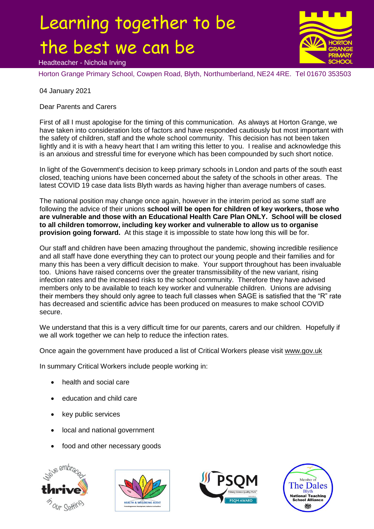## Learning together to be the best we can be



Headteacher - Nichola Irving

Horton Grange Primary School, Cowpen Road, Blyth, Northumberland, NE24 4RE. Tel 01670 353503

04 January 2021

Dear Parents and Carers

First of all I must apologise for the timing of this communication. As always at Horton Grange, we have taken into consideration lots of factors and have responded cautiously but most important with the safety of children, staff and the whole school community. This decision has not been taken lightly and it is with a heavy heart that I am writing this letter to you. I realise and acknowledge this is an anxious and stressful time for everyone which has been compounded by such short notice.

In light of the Government's decision to keep primary schools in London and parts of the south east closed, teaching unions have been concerned about the safety of the schools in other areas. The latest COVID 19 case data lists Blyth wards as having higher than average numbers of cases.

The national position may change once again, however in the interim period as some staff are following the advice of their unions **school will be open for children of key workers, those who are vulnerable and those with an Educational Health Care Plan ONLY. School will be closed to all children tomorrow, including key worker and vulnerable to allow us to organise provision going forward.** At this stage it is impossible to state how long this will be for.

Our staff and children have been amazing throughout the pandemic, showing incredible resilience and all staff have done everything they can to protect our young people and their families and for many this has been a very difficult decision to make. Your support throughout has been invaluable too. Unions have raised concerns over the greater transmissibility of the new variant, rising infection rates and the increased risks to the school community. Therefore they have advised members only to be available to teach key worker and vulnerable children. Unions are advising their members they should only agree to teach full classes when SAGE is satisfied that the "R" rate has decreased and scientific advice has been produced on measures to make school COVID secure.

We understand that this is a very difficult time for our parents, carers and our children. Hopefully if we all work together we can help to reduce the infection rates.

Once again the government have produced a list of Critical Workers please visit [www.gov.uk](http://www.gov.uk/)

In summary Critical Workers include people working in:

- health and social care
- education and child care
- key public services
- local and national government
- food and other necessary goods